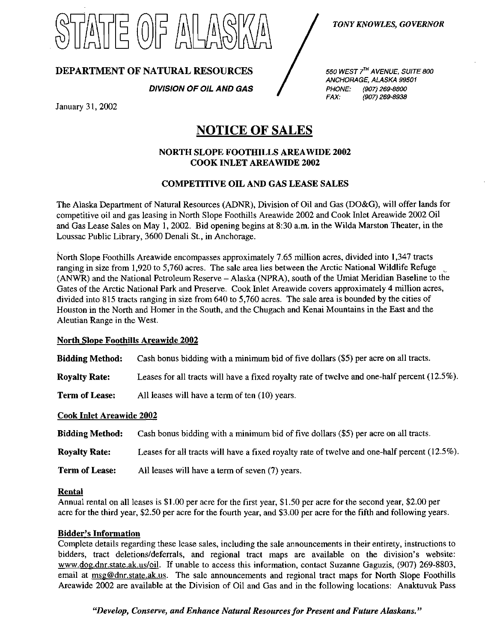

# DEPARTMENT OF NATURAL RESOURCES

DIVISION OF OIL AND GAS

550 WEST 7<sup>TH</sup> AVENUE. SUITE 800 ANCHORAGE, ALASKA 99501 PHONE: (907) 269-8800 FAX: (907) 269-8938

January 31, 2002

# NOTICE OF SALES

#### NORTH SLOPE FOOTHILLS AREAWTOE 2002 COOK INLET AREAWIDE 2002

## COMPETITIVE OIL AND GAS LEASE SALES

The Alaska Department of Natural Resources (ADNR), Division of Oil and Gas (DO&G), will offer lands for competitive oil and gas leasing in North Slope Foothills Areawide 2002 and Cook Inlet Areawide 2002 Oil and Gas Lease Sales on May 1, 2002. Bid opening begins at 8:30 a.m. in the Wilda Marston Theater, in the Loussac Public Library, 3600 Denali St., in Anchorage.

North Slope Foothills Areawide encompasses approximately 7.65 million acres, divided into 1,347 tracts ranging in size from 1,920 to 5,760 acres. The sale area lies between the Arctic National Wildlife Refuge (ANWR) and the National Petroleum Reserve - Alaska (NPRA), south of the Umiat Meridian Baseline to the Gates of the Arctic National Park and Preserve. Cook Inlet Areawide covers approximately 4 million acres, divided into 815 tracts ranging in size from 640 to 5,760 acres. The sale area is bounded by the cities of Houston in the North and Homer in the South, and the Chugach and Kenai Mountains in the East and the Aleutian Range in the West.

#### North Slope Foothills Areawide 2002

Bidding Method: Cash bonus bidding with a minimum bid of five dollars (\$5) per acre on all tracts.

Royalty Rate: Leases for all tracts will have a fixed royalty rate of twelve and one-half percent (12.5%).

Term of Lease: All leases will have a term of ten (10) years.

#### Cook Inlet Areawide 2002

| <b>Bidding Method:</b> | Cash bonus bidding with a minimum bid of five dollars (\$5) per acre on all tracts.              |
|------------------------|--------------------------------------------------------------------------------------------------|
| <b>Royalty Rate:</b>   | Leases for all tracts will have a fixed royalty rate of twelve and one-half percent $(12.5\%)$ . |
| <b>Term of Lease:</b>  | All leases will have a term of seven (7) years.                                                  |

#### Rental

Annual rental on all leases is \$1.00 per acre for the first year, \$1.50 per acre for the second year, \$2.00 per acre for the third year, \$2.50 per acre for the fourth year, and \$3.00 per acre for the fifth and following years.

#### Bidder's Information

Complete details regarding these lease sales, including the sale announcements in their entirety, instructions to bidders, tract deletions/deferrals, and regional tract maps are available on the division's website: [www.dog.dnr.state.ak.us/oil.](http://www.dog.dnr.state.ak.us/oil) If unable to access this information, contact Suzanne Gaguzis, (907) 269-8803, email at [msg@dnr.state.ak.us.](mailto:msg@dnr.state.ak.us) The sale announcements and regional tract maps for North Slope Foothills Areawide 2002 are available at the Division of Oil and Gas and in the following locations: Anaktuvuk Pass

"Develop, Conserve, and Enhance Natural Resources for Present and Future Alaskans,"